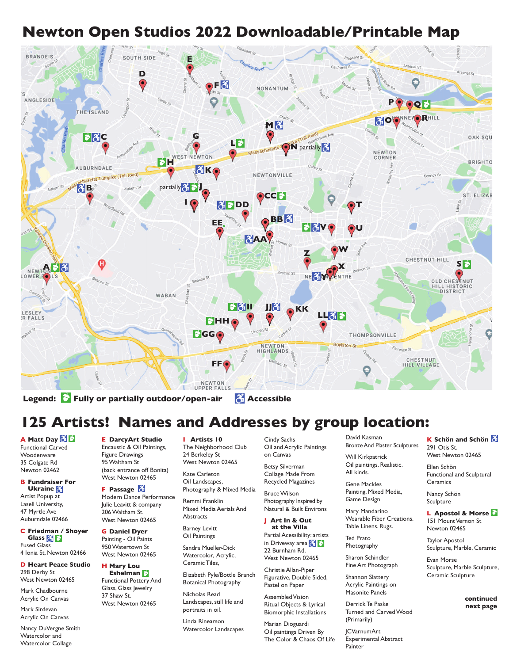## **Newton Open Studios 2022 Downloadable/Printable Map**



Legend: **Fully or partially outdoor/open-air Accessible** 

# **125 Artists! Names and Addresses by group location:**

**A Matt Day**  Functional Carved **Woodenware** 35 Colgate Rd Newton 02462

**B Fundraiser For Ukraine**  Artist Popup at Lasell University, 47 Myrtle Ave Auburndale 02466

**C Friedman / Shoyer Glass**  Fused Glass 4 Ionia St, Newton 02466

**D Heart Peace Studio**  298 Derby St West Newton 02465

Mark Chadbourne Acrylic On Canvas

Mark Sirdevan Acrylic On Canvas

Nancy DuVergne Smith Watercolor and Watercolor Collage

**E DarcyArt Studio** Encaustic & Oil Paintings, Figure Drawings 95 Waltham St (back entrance off Bonita) West Newton 02465

**F Passage**  Modern Dance Performance Julie Leavitt & company 206 Waltham St. West Newton 02465

**G Daniel Dyer**  Painting - Oil Paints 950 Watertown St West Newton 02465

**H Mary Lou Eshelman**  Functional Pottery And Glass, Glass Jewelry 37 Shaw St. West Newton 02465

**I Artists 10** The Neighborhood Club 24 Berkeley St West Newton 02465

Kate Carleton Oil Landscapes, Photography & Mixed Media

Remmi Franklin Mixed Media Aerials And **Abstracts** 

Barney Levitt Oil Paintings

Sandra Mueller-Dick Watercolor, Acrylic, Ceramic Tiles,

Elizabeth Pyle/Bottle Branch Botanical Photography

Nicholas Read Landscapes, still life and portraits in oil.

Linda Rinearson Watercolor Landscapes

Cindy Sachs Oil and Acrylic Paintings on Canvas

Betsy Silverman Collage Made From Recycled Magazines

Bruce Wilson

Photography Inspired by Natural & Built Environs **J Art In & Out**

**at the Villa** Partial Acessibility: artists in Driveway area  $\left\{ \left. \right\} \right\}$ 

22 Burnham Rd. West Newton 02465 Christie Allan-Piper

Figurative, Double Sided, Pastel on Paper

Assembled Vision Ritual Objects & Lyrical Biomorphic Installations

Marian Dioguardi Oil paintings Driven By The Color & Chaos Of Life David Kasman Bronze And Plaster Sculptures

Will Kirkpatrick

Oil paintings. Realistic.

All kinds.

Gene Mackles Painting, Mixed Media, Game Design

Mary Mandarino Wearable Fiber Creations. Table Linens. Rugs.

Ted Prato Photography

Sharon Schindler Fine Art Photograph

Shannon Slattery Acrylic Paintings on Masonite Panels

Derrick Te Paske Turned and Carved Wood (Primarily)

JCVarnumArt Experimental Abstract Painter

### **K Schön and Schön**

291 Otis St. West Newton 02465

Ellen Schön Functional and Sculptural Ceramics

Nancy Schön **Sculpture** 

**L Apostol & Morse**  151 Mount Vernon St Newton 02465

Taylor Apostol Sculpture, Marble, Ceramic

Evan Morse Sculpture, Marble Sculpture, Ceramic Sculpture

> **continued next page**